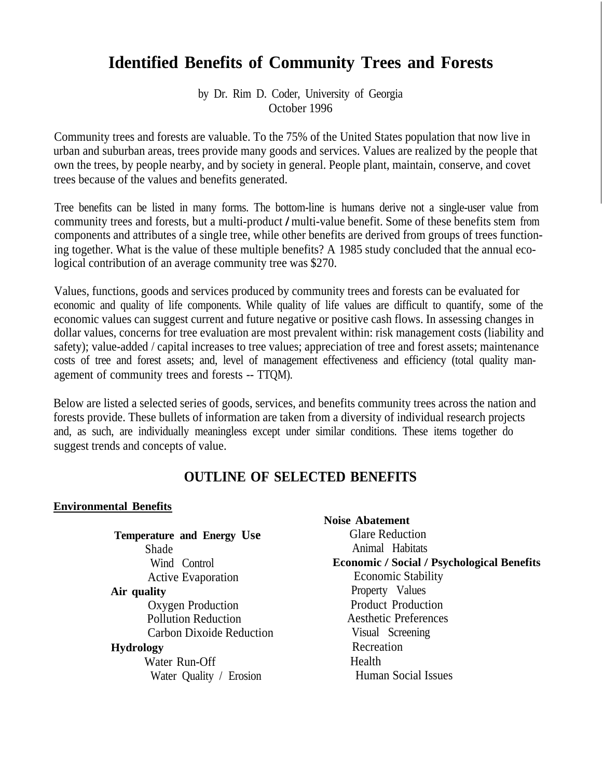# **Identified Benefits of Community Trees and Forests**

by Dr. Rim D. Coder, University of Georgia October 1996

Community trees and forests are valuable. To the 75% of the United States population that now live in urban and suburban areas, trees provide many goods and services. Values are realized by the people that own the trees, by people nearby, and by society in general. People plant, maintain, conserve, and covet trees because of the values and benefits generated.

Tree benefits can be listed in many forms. The bottom-line is humans derive not a single-user value from community trees and forests, but a multi-product / multi-value benefit. Some of these benefits stem from components and attributes of a single tree, while other benefits are derived from groups of trees functioning together. What is the value of these multiple benefits? A 1985 study concluded that the annual ecological contribution of an average community tree was \$270.

Values, functions, goods and services produced by community trees and forests can be evaluated for economic and quality of life components. While quality of life values are difficult to quantify, some of the economic values can suggest current and future negative or positive cash flows. In assessing changes in dollar values, concerns for tree evaluation are most prevalent within: risk management costs (liability and safety); value-added / capital increases to tree values; appreciation of tree and forest assets; maintenance costs of tree and forest assets; and, level of management effectiveness and efficiency (total quality management of community trees and forests -- TTQM).

Below are listed a selected series of goods, services, and benefits community trees across the nation and forests provide. These bullets of information are taken from a diversity of individual research projects and, as such, are individually meaningless except under similar conditions. These items together do suggest trends and concepts of value.

### **OUTLINE OF SELECTED BENEFITS**

#### **Environmental Benefits**

|                                   | inuise auaichichi                                 |
|-----------------------------------|---------------------------------------------------|
| <b>Temperature and Energy Use</b> | <b>Glare Reduction</b>                            |
| Shade                             | Animal Habitats                                   |
| Wind Control                      | <b>Economic / Social / Psychological Benefits</b> |
| <b>Active Evaporation</b>         | <b>Economic Stability</b>                         |
| Air quality                       | Property Values                                   |
| Oxygen Production                 | <b>Product Production</b>                         |
| <b>Pollution Reduction</b>        | <b>Aesthetic Preferences</b>                      |
| <b>Carbon Dixoide Reduction</b>   | Visual Screening                                  |
| <b>Hydrology</b>                  | Recreation                                        |
| Water Run-Off                     | Health                                            |
| Water Quality / Erosion           | <b>Human Social Issues</b>                        |
|                                   |                                                   |

**Noise Abatement**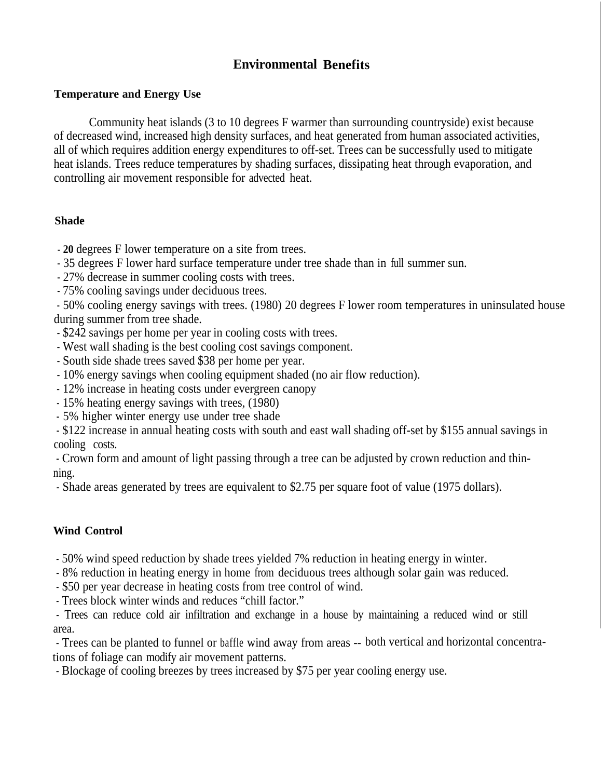### **Environmental Benefits**

#### **Temperature and Energy Use**

Community heat islands (3 to 10 degrees F warmer than surrounding countryside) exist because of decreased wind, increased high density surfaces, and heat generated from human associated activities, all of which requires addition energy expenditures to off-set. Trees can be successfully used to mitigate heat islands. Trees reduce temperatures by shading surfaces, dissipating heat through evaporation, and controlling air movement responsible for advected heat.

#### **Shade**

- **20** degrees F lower temperature on a site from trees.
- 35 degrees F lower hard surface temperature under tree shade than in full summer sun.
- 27% decrease in summer cooling costs with trees.
- 75% cooling savings under deciduous trees.

- 50% cooling energy savings with trees. (1980) 20 degrees F lower room temperatures in uninsulated house during summer from tree shade.

- \$242 savings per home per year in cooling costs with trees.
- West wall shading is the best cooling cost savings component.
- South side shade trees saved \$38 per home per year.
- 10% energy savings when cooling equipment shaded (no air flow reduction).
- 12% increase in heating costs under evergreen canopy
- 15% heating energy savings with trees, (1980)
- 5% higher winter energy use under tree shade

- \$122 increase in annual heating costs with south and east wall shading off-set by \$155 annual savings in cooling costs.

- Crown form and amount of light passing through a tree can be adjusted by crown reduction and thinning.

- Shade areas generated by trees are equivalent to \$2.75 per square foot of value (1975 dollars).

#### **Wind Control**

- 50% wind speed reduction by shade trees yielded 7% reduction in heating energy in winter.
- 8% reduction in heating energy in home from deciduous trees although solar gain was reduced.

- \$50 per year decrease in heating costs from tree control of wind.

- Trees block winter winds and reduces "chill factor."

- Trees can reduce cold air infiltration and exchange in a house by maintaining a reduced wind or still area.

- Trees can be planted to funnel or baffle wind away from areas -- both vertical and horizontal concentrations of foliage can modify air movement patterns.

- Blockage of cooling breezes by trees increased by \$75 per year cooling energy use.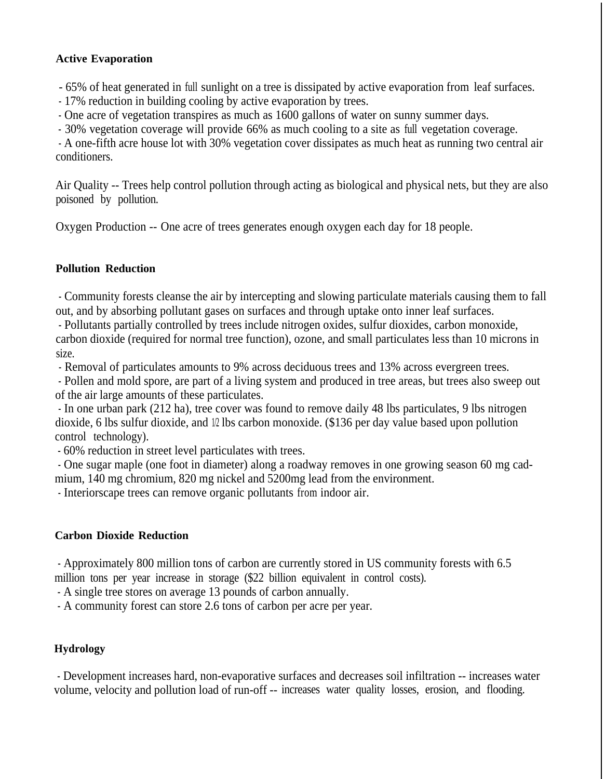### **Active Evaporation**

- 65% of heat generated in full sunlight on a tree is dissipated by active evaporation from leaf surfaces.

- 17% reduction in building cooling by active evaporation by trees.

- One acre of vegetation transpires as much as 1600 gallons of water on sunny summer days.

- 30% vegetation coverage will provide 66% as much cooling to a site as full vegetation coverage.

- A one-fifth acre house lot with 30% vegetation cover dissipates as much heat as running two central air conditioners.

Air Quality -- Trees help control pollution through acting as biological and physical nets, but they are also poisoned by pollution.

Oxygen Production -- One acre of trees generates enough oxygen each day for 18 people.

### **Pollution Reduction**

- Community forests cleanse the air by intercepting and slowing particulate materials causing them to fall out, and by absorbing pollutant gases on surfaces and through uptake onto inner leaf surfaces.

- Pollutants partially controlled by trees include nitrogen oxides, sulfur dioxides, carbon monoxide, carbon dioxide (required for normal tree function), ozone, and small particulates less than 10 microns in size.

- Removal of particulates amounts to 9% across deciduous trees and 13% across evergreen trees.

- Pollen and mold spore, are part of a living system and produced in tree areas, but trees also sweep out of the air large amounts of these particulates.

- In one urban park (212 ha), tree cover was found to remove daily 48 lbs particulates, 9 lbs nitrogen dioxide, 6 lbs sulfur dioxide, and  $\beta$  lbs carbon monoxide. (\$136 per day value based upon pollution control technology).

- 60% reduction in street level particulates with trees.

- One sugar maple (one foot in diameter) along a roadway removes in one growing season 60 mg cadmium, 140 mg chromium, 820 mg nickel and 5200mg lead from the environment.

- Interiorscape trees can remove organic pollutants from indoor air.

#### **Carbon Dioxide Reduction**

- Approximately 800 million tons of carbon are currently stored in US community forests with 6.5 million tons per year increase in storage (\$22 billion equivalent in control costs).

- A single tree stores on average 13 pounds of carbon annually.

- A community forest can store 2.6 tons of carbon per acre per year.

### **Hydrology**

- Development increases hard, non-evaporative surfaces and decreases soil infiltration -- increases water volume, velocity and pollution load of run-off -- increases water quality losses, erosion, and flooding.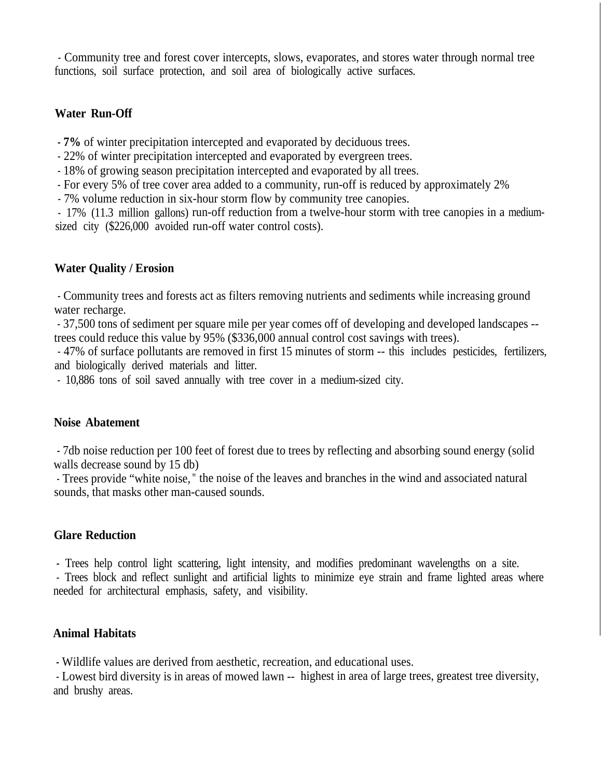- Community tree and forest cover intercepts, slows, evaporates, and stores water through normal tree functions, soil surface protection, and soil area of biologically active surfaces.

#### **Water Run-Off**

**- 7%** of winter precipitation intercepted and evaporated by deciduous trees.

- 22% of winter precipitation intercepted and evaporated by evergreen trees.
- 18% of growing season precipitation intercepted and evaporated by all trees.
- For every 5% of tree cover area added to a community, run-off is reduced by approximately 2%
- 7% volume reduction in six-hour storm flow by community tree canopies.

- 17% (11.3 million gallons) run-off reduction from a twelve-hour storm with tree canopies in a mediumsized city (\$226,000 avoided run-off water control costs).

### **Water Quality / Erosion**

- Community trees and forests act as filters removing nutrients and sediments while increasing ground water recharge.

- 37,500 tons of sediment per square mile per year comes off of developing and developed landscapes - trees could reduce this value by 95% (\$336,000 annual control cost savings with trees).

- 47% of surface pollutants are removed in first 15 minutes of storm -- this includes pesticides, fertilizers, and biologically derived materials and litter.

- 10,886 tons of soil saved annually with tree cover in a medium-sized city.

#### **Noise Abatement**

**-** 7db noise reduction per 100 feet of forest due to trees by reflecting and absorbing sound energy (solid walls decrease sound by 15 db)

- Trees provide "white noise, " the noise of the leaves and branches in the wind and associated natural sounds, that masks other man-caused sounds.

### **Glare Reduction**

**-** Trees help control light scattering, light intensity, and modifies predominant wavelengths on a site.

- Trees block and reflect sunlight and artificial lights to minimize eye strain and frame lighted areas where needed for architectural emphasis, safety, and visibility.

### **Animal Habitats**

**-** Wildlife values are derived from aesthetic, recreation, and educational uses.

- Lowest bird diversity is in areas of mowed lawn -- highest in area of large trees, greatest tree diversity, and brushy areas.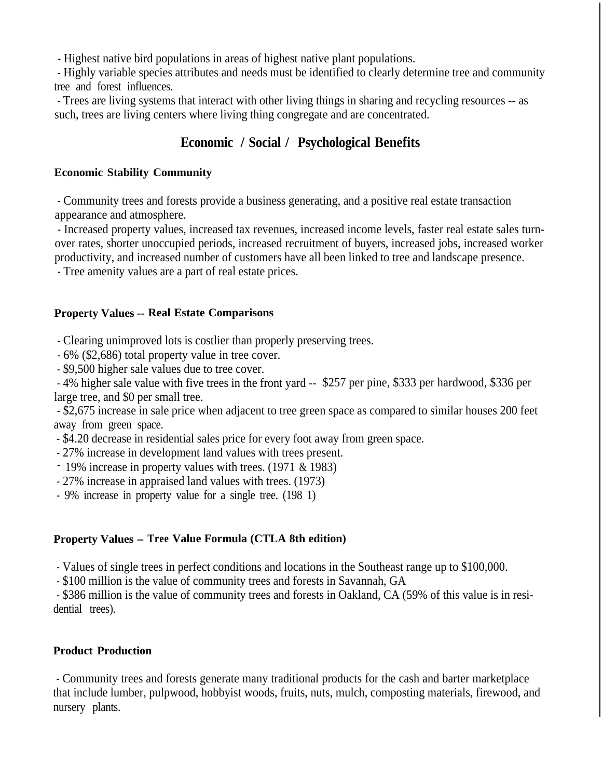- Highest native bird populations in areas of highest native plant populations.

- Highly variable species attributes and needs must be identified to clearly determine tree and community tree and forest influences.

- Trees are living systems that interact with other living things in sharing and recycling resources -- as such, trees are living centers where living thing congregate and are concentrated.

## **Economic / Social / Psychological Benefits**

### **Economic Stability Community**

- Community trees and forests provide a business generating, and a positive real estate transaction appearance and atmosphere.

- Increased property values, increased tax revenues, increased income levels, faster real estate sales turnover rates, shorter unoccupied periods, increased recruitment of buyers, increased jobs, increased worker productivity, and increased number of customers have all been linked to tree and landscape presence.

- Tree amenity values are a part of real estate prices.

### **Property Values -- Real Estate Comparisons**

- Clearing unimproved lots is costlier than properly preserving trees.

- 6% (\$2,686) total property value in tree cover.

- \$9,500 higher sale values due to tree cover.

- 4% higher sale value with five trees in the front yard -- \$257 per pine, \$333 per hardwood, \$336 per large tree, and \$0 per small tree.

- \$2,675 increase in sale price when adjacent to tree green space as compared to similar houses 200 feet away from green space.

- \$4.20 decrease in residential sales price for every foot away from green space.

- 27% increase in development land values with trees present.

- 19% increase in property values with trees. (1971 & 1983)

- 27% increase in appraised land values with trees. (1973)

- 9% increase in property value for a single tree. (198 1)

### **Property Values - Tree Value Formula (CTLA 8th edition)**

- Values of single trees in perfect conditions and locations in the Southeast range up to \$100,000.

- \$100 million is the value of community trees and forests in Savannah, GA

- \$386 million is the value of community trees and forests in Oakland, CA (59% of this value is in residential trees).

### **Product Production**

- Community trees and forests generate many traditional products for the cash and barter marketplace that include lumber, pulpwood, hobbyist woods, fruits, nuts, mulch, composting materials, firewood, and nursery plants.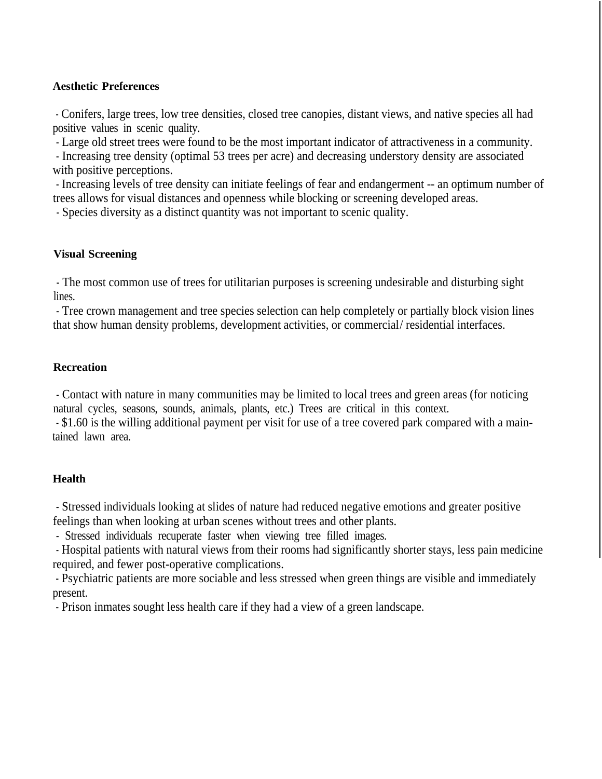#### **Aesthetic Preferences**

- Conifers, large trees, low tree densities, closed tree canopies, distant views, and native species all had positive values in scenic quality.

- Large old street trees were found to be the most important indicator of attractiveness in a community.

- Increasing tree density (optimal 53 trees per acre) and decreasing understory density are associated with positive perceptions.

- Increasing levels of tree density can initiate feelings of fear and endangerment -- an optimum number of trees allows for visual distances and openness while blocking or screening developed areas.

- Species diversity as a distinct quantity was not important to scenic quality.

#### **Visual Screening**

- The most common use of trees for utilitarian purposes is screening undesirable and disturbing sight lines.

- Tree crown management and tree species selection can help completely or partially block vision lines that show human density problems, development activities, or commercial/residential interfaces.

#### **Recreation**

- Contact with nature in many communities may be limited to local trees and green areas (for noticing natural cycles, seasons, sounds, animals, plants, etc.) Trees are critical in this context.

- \$1.60 is the willing additional payment per visit for use of a tree covered park compared with a maintained lawn area.

#### **Health**

- Stressed individuals looking at slides of nature had reduced negative emotions and greater positive feelings than when looking at urban scenes without trees and other plants.

- Stressed individuals recuperate faster when viewing tree filled images.

- Hospital patients with natural views from their rooms had significantly shorter stays, less pain medicine required, and fewer post-operative complications.

- Psychiatric patients are more sociable and less stressed when green things are visible and immediately present.

- Prison inmates sought less health care if they had a view of a green landscape.